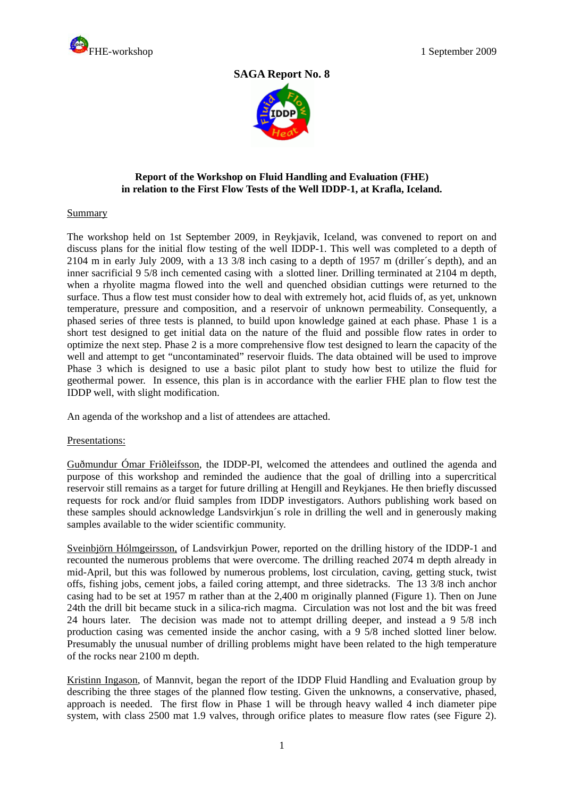

# **SAGA Report No. 8**



## **Report of the Workshop on Fluid Handling and Evaluation (FHE) in relation to the First Flow Tests of the Well IDDP-1, at Krafla, Iceland.**

#### Summary

The workshop held on 1st September 2009, in Reykjavik, Iceland, was convened to report on and discuss plans for the initial flow testing of the well IDDP-1. This well was completed to a depth of 2104 m in early July 2009, with a 13 3/8 inch casing to a depth of 1957 m (driller´s depth), and an inner sacrificial 9 5/8 inch cemented casing with a slotted liner. Drilling terminated at 2104 m depth, when a rhyolite magma flowed into the well and quenched obsidian cuttings were returned to the surface. Thus a flow test must consider how to deal with extremely hot, acid fluids of, as yet, unknown temperature, pressure and composition, and a reservoir of unknown permeability. Consequently, a phased series of three tests is planned, to build upon knowledge gained at each phase. Phase 1 is a short test designed to get initial data on the nature of the fluid and possible flow rates in order to optimize the next step. Phase 2 is a more comprehensive flow test designed to learn the capacity of the well and attempt to get "uncontaminated" reservoir fluids. The data obtained will be used to improve Phase 3 which is designed to use a basic pilot plant to study how best to utilize the fluid for geothermal power. In essence, this plan is in accordance with the earlier FHE plan to flow test the IDDP well, with slight modification.

An agenda of the workshop and a list of attendees are attached.

### Presentations:

Guðmundur Ómar Friðleifsson, the IDDP-PI, welcomed the attendees and outlined the agenda and purpose of this workshop and reminded the audience that the goal of drilling into a supercritical reservoir still remains as a target for future drilling at Hengill and Reykjanes. He then briefly discussed requests for rock and/or fluid samples from IDDP investigators. Authors publishing work based on these samples should acknowledge Landsvirkjun´s role in drilling the well and in generously making samples available to the wider scientific community.

Sveinbjörn Hólmgeirsson, of Landsvirkjun Power, reported on the drilling history of the IDDP-1 and recounted the numerous problems that were overcome. The drilling reached 2074 m depth already in mid-April, but this was followed by numerous problems, lost circulation, caving, getting stuck, twist offs, fishing jobs, cement jobs, a failed coring attempt, and three sidetracks. The 13 3/8 inch anchor casing had to be set at 1957 m rather than at the 2,400 m originally planned (Figure 1). Then on June 24th the drill bit became stuck in a silica-rich magma. Circulation was not lost and the bit was freed 24 hours later. The decision was made not to attempt drilling deeper, and instead a 9 5/8 inch production casing was cemented inside the anchor casing, with a 9 5/8 inched slotted liner below. Presumably the unusual number of drilling problems might have been related to the high temperature of the rocks near 2100 m depth.

Kristinn Ingason, of Mannvit, began the report of the IDDP Fluid Handling and Evaluation group by describing the three stages of the planned flow testing. Given the unknowns, a conservative, phased, approach is needed. The first flow in Phase 1 will be through heavy walled 4 inch diameter pipe system, with class 2500 mat 1.9 valves, through orifice plates to measure flow rates (see Figure 2).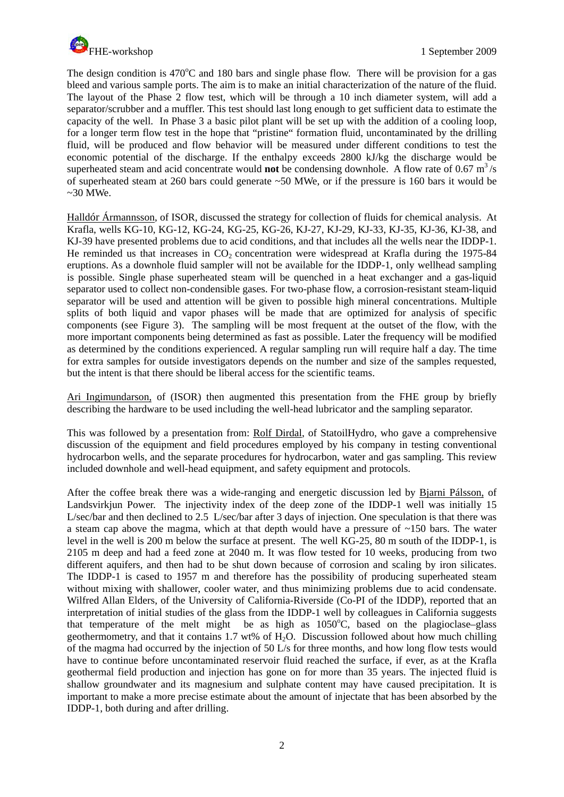

The design condition is  $470^{\circ}$ C and 180 bars and single phase flow. There will be provision for a gas bleed and various sample ports. The aim is to make an initial characterization of the nature of the fluid. The layout of the Phase 2 flow test, which will be through a 10 inch diameter system, will add a separator/scrubber and a muffler. This test should last long enough to get sufficient data to estimate the capacity of the well. In Phase 3 a basic pilot plant will be set up with the addition of a cooling loop, for a longer term flow test in the hope that "pristine" formation fluid, uncontaminated by the drilling fluid, will be produced and flow behavior will be measured under different conditions to test the economic potential of the discharge. If the enthalpy exceeds 2800 kJ/kg the discharge would be superheated steam and acid concentrate would **not** be condensing downhole. A flow rate of  $0.67 \text{ m}^3/\text{s}$ of superheated steam at 260 bars could generate ~50 MWe, or if the pressure is 160 bars it would be  $\sim$ 30 MWe.

Halldór Ármannsson, of ISOR, discussed the strategy for collection of fluids for chemical analysis. At Krafla, wells KG-10, KG-12, KG-24, KG-25, KG-26, KJ-27, KJ-29, KJ-33, KJ-35, KJ-36, KJ-38, and KJ-39 have presented problems due to acid conditions, and that includes all the wells near the IDDP-1. He reminded us that increases in  $CO<sub>2</sub>$  concentration were widespread at Krafla during the 1975-84 eruptions. As a downhole fluid sampler will not be available for the IDDP-1, only wellhead sampling is possible. Single phase superheated steam will be quenched in a heat exchanger and a gas-liquid separator used to collect non-condensible gases. For two-phase flow, a corrosion-resistant steam-liquid separator will be used and attention will be given to possible high mineral concentrations. Multiple splits of both liquid and vapor phases will be made that are optimized for analysis of specific components (see Figure 3). The sampling will be most frequent at the outset of the flow, with the more important components being determined as fast as possible. Later the frequency will be modified as determined by the conditions experienced. A regular sampling run will require half a day. The time for extra samples for outside investigators depends on the number and size of the samples requested, but the intent is that there should be liberal access for the scientific teams.

Ari Ingimundarson, of (ISOR) then augmented this presentation from the FHE group by briefly describing the hardware to be used including the well-head lubricator and the sampling separator.

This was followed by a presentation from: Rolf Dirdal, of StatoilHydro, who gave a comprehensive discussion of the equipment and field procedures employed by his company in testing conventional hydrocarbon wells, and the separate procedures for hydrocarbon, water and gas sampling. This review included downhole and well-head equipment, and safety equipment and protocols.

After the coffee break there was a wide-ranging and energetic discussion led by Bjarni Pálsson, of Landsvirkjun Power. The injectivity index of the deep zone of the IDDP-1 well was initially 15 L/sec/bar and then declined to 2.5 L/sec/bar after 3 days of injection. One speculation is that there was a steam cap above the magma, which at that depth would have a pressure of  $\sim$ 150 bars. The water level in the well is 200 m below the surface at present. The well KG-25, 80 m south of the IDDP-1, is 2105 m deep and had a feed zone at 2040 m. It was flow tested for 10 weeks, producing from two different aquifers, and then had to be shut down because of corrosion and scaling by iron silicates. The IDDP-1 is cased to 1957 m and therefore has the possibility of producing superheated steam without mixing with shallower, cooler water, and thus minimizing problems due to acid condensate. Wilfred Allan Elders, of the University of California-Riverside (Co-PI of the IDDP), reported that an interpretation of initial studies of the glass from the IDDP-1 well by colleagues in California suggests that temperature of the melt might be as high as  $1050^{\circ}$ C, based on the plagioclase-glass geothermometry, and that it contains  $1.7$  wt% of  $H_2O$ . Discussion followed about how much chilling of the magma had occurred by the injection of 50 L/s for three months, and how long flow tests would have to continue before uncontaminated reservoir fluid reached the surface, if ever, as at the Krafla geothermal field production and injection has gone on for more than 35 years. The injected fluid is shallow groundwater and its magnesium and sulphate content may have caused precipitation. It is important to make a more precise estimate about the amount of injectate that has been absorbed by the IDDP-1, both during and after drilling.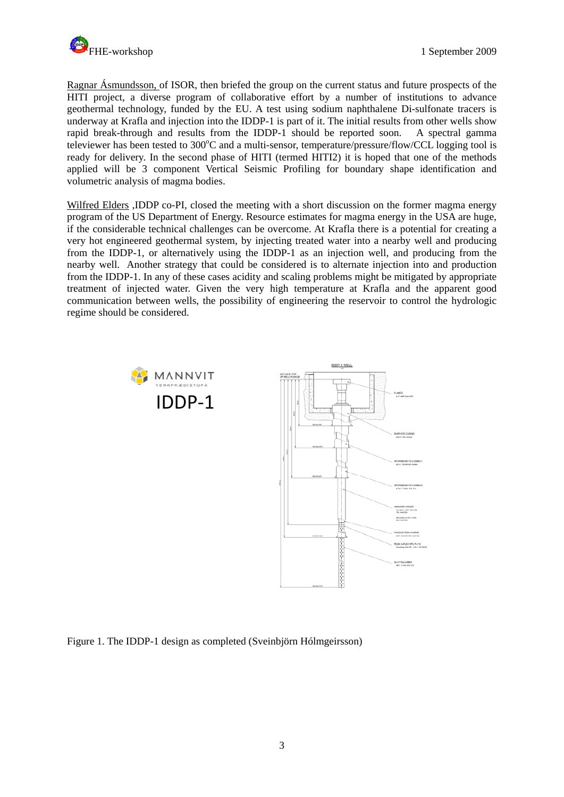

Ragnar Ásmundsson, of ISOR, then briefed the group on the current status and future prospects of the HITI project, a diverse program of collaborative effort by a number of institutions to advance geothermal technology, funded by the EU. A test using sodium naphthalene Di-sulfonate tracers is underway at Krafla and injection into the IDDP-1 is part of it. The initial results from other wells show rapid break-through and results from the IDDP-1 should be reported soon. A spectral gamma televiewer has been tested to 300°C and a multi-sensor, temperature/pressure/flow/CCL logging tool is ready for delivery. In the second phase of HITI (termed HITI2) it is hoped that one of the methods applied will be 3 component Vertical Seismic Profiling for boundary shape identification and volumetric analysis of magma bodies.

Wilfred Elders , IDDP co-PI, closed the meeting with a short discussion on the former magma energy program of the US Department of Energy. Resource estimates for magma energy in the USA are huge, if the considerable technical challenges can be overcome. At Krafla there is a potential for creating a very hot engineered geothermal system, by injecting treated water into a nearby well and producing from the IDDP-1, or alternatively using the IDDP-1 as an injection well, and producing from the nearby well. Another strategy that could be considered is to alternate injection into and production from the IDDP-1. In any of these cases acidity and scaling problems might be mitigated by appropriate treatment of injected water. Given the very high temperature at Krafla and the apparent good communication between wells, the possibility of engineering the reservoir to control the hydrologic regime should be considered.





Figure 1. The IDDP-1 design as completed (Sveinbjörn Hólmgeirsson)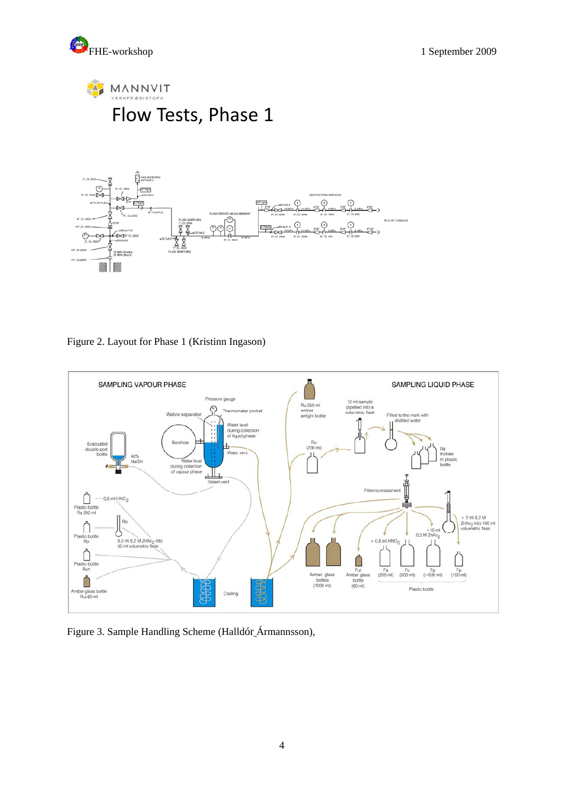





Figure 2. Layout for Phase 1 (Kristinn Ingason)



Figure 3. Sample Handling Scheme (Halldór Ármannsson),